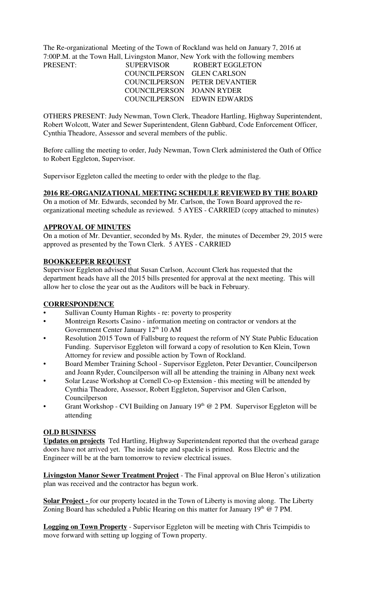The Re-organizational Meeting of the Town of Rockland was held on January 7, 2016 at 7:00P.M. at the Town Hall, Livingston Manor, New York with the following members PRESENT:

| <b>PRESENT:</b> | <b>SUPERVISOR</b>          | ROBERT EGGLETON               |
|-----------------|----------------------------|-------------------------------|
|                 | COUNCILPERSON GLEN CARLSON |                               |
|                 |                            | COUNCILPERSON PETER DEVANTIER |
|                 | COUNCILPERSON JOANN RYDER  |                               |
|                 |                            | COUNCILPERSON EDWIN EDWARDS   |

OTHERS PRESENT: Judy Newman, Town Clerk, Theadore Hartling, Highway Superintendent, Robert Wolcott, Water and Sewer Superintendent, Glenn Gabbard, Code Enforcement Officer, Cynthia Theadore, Assessor and several members of the public.

Before calling the meeting to order, Judy Newman, Town Clerk administered the Oath of Office to Robert Eggleton, Supervisor.

Supervisor Eggleton called the meeting to order with the pledge to the flag.

#### **2016 RE-ORGANIZATIONAL MEETING SCHEDULE REVIEWED BY THE BOARD**

On a motion of Mr. Edwards, seconded by Mr. Carlson, the Town Board approved the reorganizational meeting schedule as reviewed. 5 AYES - CARRIED (copy attached to minutes)

# **APPROVAL OF MINUTES**

On a motion of Mr. Devantier, seconded by Ms. Ryder, the minutes of December 29, 2015 were approved as presented by the Town Clerk. 5 AYES - CARRIED

# **BOOKKEEPER REQUEST**

Supervisor Eggleton advised that Susan Carlson, Account Clerk has requested that the department heads have all the 2015 bills presented for approval at the next meeting. This will allow her to close the year out as the Auditors will be back in February.

# **CORRESPONDENCE**

- Sullivan County Human Rights re: poverty to prosperity
- Montreign Resorts Casino information meeting on contractor or vendors at the Government Center January 12<sup>th</sup> 10 AM
- Resolution 2015 Town of Fallsburg to request the reform of NY State Public Education Funding. Supervisor Eggleton will forward a copy of resolution to Ken Klein, Town Attorney for review and possible action by Town of Rockland.
- Board Member Training School Supervisor Eggleton, Peter Devantier, Councilperson and Joann Ryder, Councilperson will all be attending the training in Albany next week
- Solar Lease Workshop at Cornell Co-op Extension this meeting will be attended by Cynthia Theadore, Assessor, Robert Eggleton, Supervisor and Glen Carlson, Councilperson
- Grant Workshop CVI Building on January  $19<sup>th</sup>$  @ 2 PM. Supervisor Eggleton will be attending

# **OLD BUSINESS**

**Updates on projects** Ted Hartling, Highway Superintendent reported that the overhead garage doors have not arrived yet. The inside tape and spackle is primed. Ross Electric and the Engineer will be at the barn tomorrow to review electrical issues.

**Livingston Manor Sewer Treatment Project** - The Final approval on Blue Heron's utilization plan was received and the contractor has begun work.

**Solar Project -** for our property located in the Town of Liberty is moving along. The Liberty Zoning Board has scheduled a Public Hearing on this matter for January  $19<sup>th</sup>$  @ 7 PM.

**Logging on Town Property** - Supervisor Eggleton will be meeting with Chris Tcimpidis to move forward with setting up logging of Town property.